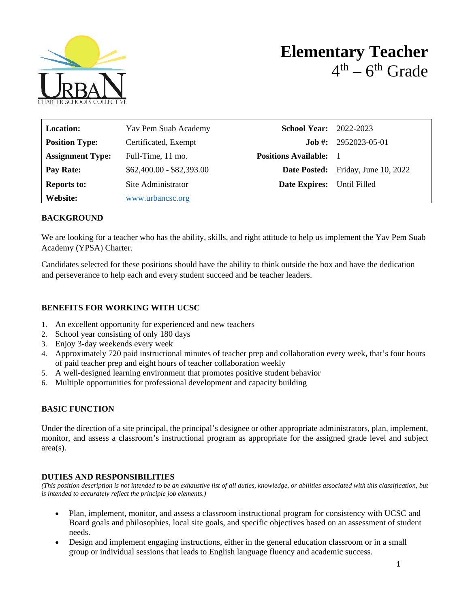

| <b>Location:</b>        | Yav Pem Suab Academy      | <b>School Year:</b> 2022-2023 |                                           |
|-------------------------|---------------------------|-------------------------------|-------------------------------------------|
| <b>Position Type:</b>   | Certificated, Exempt      |                               | <b>Job #:</b> $2952023-05-01$             |
| <b>Assignment Type:</b> | Full-Time, 11 mo.         | <b>Positions Available:</b>   |                                           |
| Pay Rate:               | $$62,400.00 - $82,393.00$ |                               | <b>Date Posted:</b> Friday, June 10, 2022 |
| <b>Reports to:</b>      | Site Administrator        | <b>Date Expires:</b>          | Until Filled                              |
| Website:                | www.urbancsc.org          |                               |                                           |

### **BACKGROUND**

We are looking for a teacher who has the ability, skills, and right attitude to help us implement the Yav Pem Suab Academy (YPSA) Charter.

Candidates selected for these positions should have the ability to think outside the box and have the dedication and perseverance to help each and every student succeed and be teacher leaders.

### **BENEFITS FOR WORKING WITH UCSC**

- 1. An excellent opportunity for experienced and new teachers
- 2. School year consisting of only 180 days
- 3. Enjoy 3-day weekends every week
- 4. Approximately 720 paid instructional minutes of teacher prep and collaboration every week, that's four hours of paid teacher prep and eight hours of teacher collaboration weekly
- 5. A well-designed learning environment that promotes positive student behavior
- 6. Multiple opportunities for professional development and capacity building

# **BASIC FUNCTION**

Under the direction of a site principal, the principal's designee or other appropriate administrators, plan, implement, monitor, and assess a classroom's instructional program as appropriate for the assigned grade level and subject area(s).

# **DUTIES AND RESPONSIBILITIES**

*(This position description is not intended to be an exhaustive list of all duties, knowledge, or abilities associated with this classification, but is intended to accurately reflect the principle job elements.)*

- Plan, implement, monitor, and assess a classroom instructional program for consistency with UCSC and Board goals and philosophies, local site goals, and specific objectives based on an assessment of student needs.
- Design and implement engaging instructions, either in the general education classroom or in a small group or individual sessions that leads to English language fluency and academic success.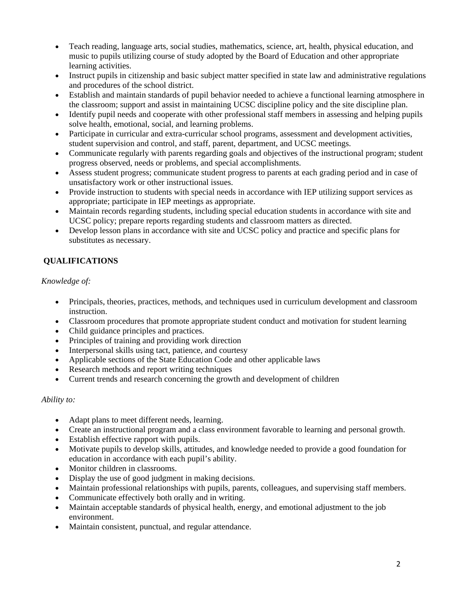- Teach reading, language arts, social studies, mathematics, science, art, health, physical education, and music to pupils utilizing course of study adopted by the Board of Education and other appropriate learning activities.
- Instruct pupils in citizenship and basic subject matter specified in state law and administrative regulations and procedures of the school district.
- Establish and maintain standards of pupil behavior needed to achieve a functional learning atmosphere in the classroom; support and assist in maintaining UCSC discipline policy and the site discipline plan.
- Identify pupil needs and cooperate with other professional staff members in assessing and helping pupils solve health, emotional, social, and learning problems.
- Participate in curricular and extra-curricular school programs, assessment and development activities, student supervision and control, and staff, parent, department, and UCSC meetings.
- Communicate regularly with parents regarding goals and objectives of the instructional program; student progress observed, needs or problems, and special accomplishments.
- Assess student progress; communicate student progress to parents at each grading period and in case of unsatisfactory work or other instructional issues.
- Provide instruction to students with special needs in accordance with IEP utilizing support services as appropriate; participate in IEP meetings as appropriate.
- Maintain records regarding students, including special education students in accordance with site and UCSC policy; prepare reports regarding students and classroom matters as directed.
- Develop lesson plans in accordance with site and UCSC policy and practice and specific plans for substitutes as necessary.

# **QUALIFICATIONS**

# *Knowledge of:*

- Principals, theories, practices, methods, and techniques used in curriculum development and classroom instruction.
- Classroom procedures that promote appropriate student conduct and motivation for student learning
- Child guidance principles and practices.
- Principles of training and providing work direction
- Interpersonal skills using tact, patience, and courtesy
- Applicable sections of the State Education Code and other applicable laws
- Research methods and report writing techniques
- Current trends and research concerning the growth and development of children

#### *Ability to:*

- Adapt plans to meet different needs, learning.
- Create an instructional program and a class environment favorable to learning and personal growth.
- Establish effective rapport with pupils.
- Motivate pupils to develop skills, attitudes, and knowledge needed to provide a good foundation for education in accordance with each pupil's ability.
- Monitor children in classrooms.
- Display the use of good judgment in making decisions.
- Maintain professional relationships with pupils, parents, colleagues, and supervising staff members.
- Communicate effectively both orally and in writing.
- Maintain acceptable standards of physical health, energy, and emotional adjustment to the job environment.
- Maintain consistent, punctual, and regular attendance.